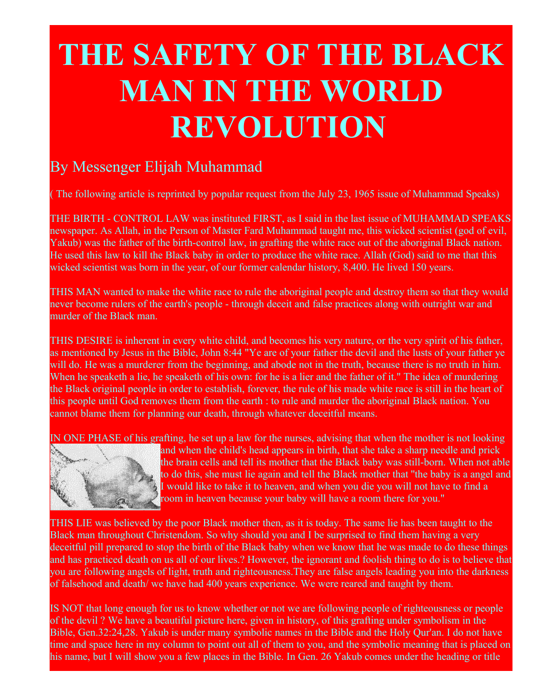## **THE SAFETY OF THE BLACK MAN IN THE WORLD REVOLUTION**

## By Messenger Elijah Muhammad

( The following article is reprinted by popular request from the July 23, 1965 issue of Muhammad Speaks)

THE BIRTH - CONTROL LAW was instituted FIRST, as I said in the last issue of MUHAMMAD SPEAKS newspaper. As Allah, in the Person of Master Fard Muhammad taught me, this wicked scientist (god of evil, Yakub) was the father of the birth-control law, in grafting the white race out of the aboriginal Black nation. He used this law to kill the Black baby in order to produce the white race. Allah (God) said to me that this wicked scientist was born in the year, of our former calendar history, 8,400. He lived 150 years.

THIS MAN wanted to make the white race to rule the aboriginal people and destroy them so that they would never become rulers of the earth's people - through deceit and false practices along with outright war and murder of the Black man.

THIS DESIRE is inherent in every white child, and becomes his very nature, or the very spirit of his father, as mentioned by Jesus in the Bible, John 8:44 "Ye are of your father the devil and the lusts of your father ye will do. He was a murderer from the beginning, and abode not in the truth, because there is no truth in him. When he speaketh a lie, he speaketh of his own: for he is a lier and the father of it." The idea of murdering the Black original people in order to establish, forever, the rule of his made white race is still in the heart of this people until God removes them from the earth : to rule and murder the aboriginal Black nation. You cannot blame them for planning our death, through whatever deceitful means.

IN ONE PHASE of his grafting, he set up a law for the nurses, advising that when the mother is not looking



and when the child's head appears in birth, that she take a sharp needle and prick the brain cells and tell its mother that the Black baby was still-born. When not able to do this, she must lie again and tell the Black mother that ''the baby is a angel and I would like to take it to heaven, and when you die you will not have to find a room in heaven because your baby will have a room there for you."

THIS LIE was believed by the poor Black mother then, as it is today. The same lie has been taught to the Black man throughout Christendom. So why should you and I be surprised to find them having a very deceitful pill prepared to stop the birth of the Black baby when we know that he was made to do these things and has practiced death on us all of our lives.? However, the ignorant and foolish thing to do is to believe that you are following angels of light, truth and righteousness.They are false angels leading you into the darkness of falsehood and death/ we have had 400 years experience. We were reared and taught by them.

IS NOT that long enough for us to know whether or not we are following people of righteousness or people of the devil ? We have a beautiful picture here, given in history, of this grafting under symbolism in the Bible, Gen.32:24,28. Yakub is under many symbolic names in the Bible and the Holy Qur'an. I do not have time and space here in my column to point out all of them to you, and the symbolic meaning that is placed on his name, but I will show you a few places in the Bible. In Gen. 26 Yakub comes under the heading or title